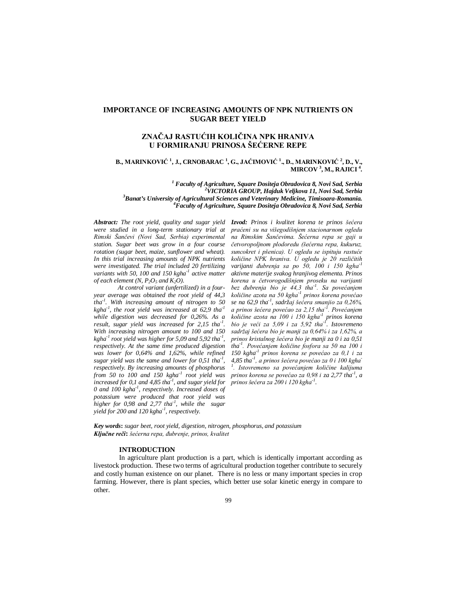# **IMPORTANCE OF INCREASING AMOUNTS OF NPK NUTRIENTS ON SUGAR BEET YIELD**

# **ZNAČAJ RASTUĆIH KOLIČINA NPK HRANIVA U FORMIRANJU PRINOSA ŠEĆERNE REPE**

## **B., MARINKOVIĆ <sup>1</sup> , J., CRNOBARAC <sup>1</sup> , G., JAĆIMOVIĆ <sup>1</sup> ., D., MARINKOVIĆ <sup>2</sup> , D., V., MIRCOV <sup>3</sup> , M., RAJICI <sup>4</sup> .**

  *Faculty of Agriculture, Square Dositeja Obradovica 8, Novi Sad, Serbia VICTORIA GROUP, Hajduk Veljkova 11, Novi Sad, Serbia Banat's University of Agricultural Sciences and Veterinary Medicine, Timisoara-Romania. Faculty of Agriculture, Square Dositeja Obradovica 8, Novi Sad, Serbia*

*Abstract: The root yield, quality and sugar yield Izvod: Prinos i kvalitet korena te prinos šećera were studied in a long-term stationary trial at Rimski Šančevi (Novi Sad, Serbia) experimental station. Sugar beet was grow in a four course rotation (sugar beet, maize, sunflower and wheat). In this trial increasing amounts of NPK nutrients were investigated. The trial included 20 fertilizing variants with 50, 100 and 150 kgha-1 active matter of each element*  $(N, P_2O_5$  *and*  $K_2O$ *).* 

*At control variant (unfertilized) in a fouryear average was obtained the root yield of 44,3 tha-1 . With increasing amount of nitrogen to 50 kgha-1 , the root yield was increased at 62,9 tha-1 while digestion was decreased for 0,26%. As a result, sugar yield was increased for 2,15 tha-1 . With increasing nitrogen amount to 100 and 150 kgha-1 root yield was higher for 5,09 and 5,92 tha-1 , respectively. At the same time produced digestion was lower for 0,64% and 1,62%, while refined sugar yield was the same and lower for 0,51 tha-1 , respectively. By increasing amounts of phosphorus from 50 to 100 and 150 kgha-1 root yield was increased for 0,1 and 4,85 tha-1 , and sugar yield for 0 and 100 kgha-1 , respectively. Increased doses of potassium were produced that root yield was higher for 0,98 and 2,77 tha-1 , while the sugar yield for 200 and 120 kgha-1 , respectively.*

*praćeni su na višegodišnjem stacionarnom ogledu na Rimskim Šančevima. Šećerna repa se gaji u četvoropoljnom plodoredu (šećerna repa, kukuruz, suncokret i pšenica). U ogledu se ispituju rastuće količine NPK hraniva. U ogledu je 20 različitih varijanti đubrenja sa po 50, 100 i 150 kgha-1 aktivne materije svakog hranjivog elementa. Prinos korena u četvorogodišnjem proseku na varijanti bez đubrenja bio je 44,3 tha-1 . Sa povećanjem količine azota na 50 kgha-1 prinos korena povećao se na 62,9 tha-1 , sadržaj šećera smanjio za 0,26%, a prinos šećera povećao za 2,15 tha-1 . Povećanjem količine azota na 100 i 150 kgha-1 prinos korena bio je veći za 5,09 i za 5,92 tha-1 . Istovremeno sadržaj šećera bio je manji za 0,64% i za 1,62%, a prinos kristalnog šećera bio je manji za 0 i za 0,51 tha-1 . Povećanjem količine fosfora sa 50 na 100 i 150 kgha-1 prinos korena se povećao za 0,1 i za 4,85 tha-1 , a prinos šećera povećao za 0 i 100 kgha-1 . Istovremeno sa povećanjem količine kalijuma prinos korena se povećao za 0,98 i za 2,77 tha-1 , a prinos šećera za 200 i 120 kgha-1 .*

*Key words***:** *sugar beet, root yield, digestion, nitrogen, phosphorus, and potassium Ključne reči***:** *šećerna repa, đubrenje, prinos, kvalitet*

#### **INTRODUCTION**

In agriculture plant production is a part, which is identically important according as livestock production. These two terms of agricultural production together contribute to securely and costly human existence on our planet. There is no less or many important species in crop farming. However, there is plant species, which better use solar kinetic energy in compare to other.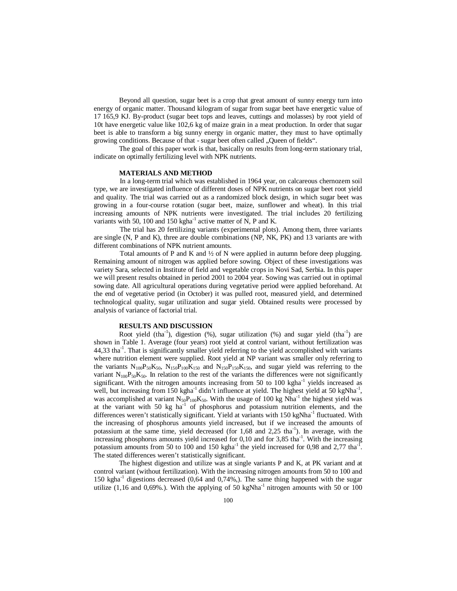Beyond all question, sugar beet is a crop that great amount of sunny energy turn into energy of organic matter. Thousand kilogram of sugar from sugar beet have energetic value of 17 165,9 KJ. By-product (sugar beet tops and leaves, cuttings and molasses) by root yield of 10t have energetic value like 102,6 kg of maize grain in a meat production. In order that sugar beet is able to transform a big sunny energy in organic matter, they must to have optimally growing conditions. Because of that - sugar beet often called "Queen of fields".

The goal of this paper work is that, basically on results from long-term stationary trial, indicate on optimally fertilizing level with NPK nutrients.

### **MATERIALS AND METHOD**

In a long-term trial which was established in 1964 year, on calcareous chernozem soil type, we are investigated influence of different doses of NPK nutrients on sugar beet root yield and quality. The trial was carried out as a randomized block design, in which sugar beet was growing in a four-course rotation (sugar beet, maize, sunflower and wheat). In this trial increasing amounts of NPK nutrients were investigated. The trial includes 20 fertilizing variants with 50, 100 and 150 kgha<sup>-1</sup> active matter of N, P and K.

The trial has 20 fertilizing variants (experimental plots). Among them, three variants are single (N, P and K), three are double combinations (NP, NK, PK) and 13 variants are with different combinations of NPK nutrient amounts.

Total amounts of P and K and  $\frac{1}{2}$  of N were applied in autumn before deep plugging. Remaining amount of nitrogen was applied before sowing. Object of these investigations was variety Sara, selected in Institute of field and vegetable crops in Novi Sad, Serbia. In this paper we will present results obtained in period 2001 to 2004 year. Sowing was carried out in optimal sowing date. All agricultural operations during vegetative period were applied beforehand. At the end of vegetative period (in October) it was pulled root, measured yield, and determined technological quality, sugar utilization and sugar yield. Obtained results were processed by analysis of variance of factorial trial.

### **RESULTS AND DISCUSSION**

Root yield (tha<sup>-1</sup>), digestion  $(\%)$ , sugar utilization  $(\%)$  and sugar yield (tha<sup>-1</sup>) are shown in Table 1. Average (four years) root yield at control variant, without fertilization was 44,33 tha<sup>-1</sup>. That is significantly smaller yield referring to the yield accomplished with variants where nutrition element were supplied. Root yield at NP variant was smaller only referring to the variants  $N_{100}P_{50}K_{50}$ ,  $N_{150}P_{100}K_{150}$  and  $N_{150}P_{150}K_{150}$ , and sugar yield was referring to the variant  $N_{100}P_{50}K_{50}$ . In relation to the rest of the variants the differences were not significantly significant. With the nitrogen amounts increasing from 50 to  $100 \text{ kgha}^{-1}$  yields increased as well, but increasing from  $150 \text{ kgha}^{-1}$  didn't influence at yield. The highest yield at  $50 \text{ kgNha}^{-1}$ , was accomplished at variant  $N_{50}P_{100}K_{50}$ . With the usage of 100 kg Nha<sup>-1</sup> the highest yield was at the variant with 50 kg ha<sup>-1</sup> of phosphorus and potassium nutrition elements, and the differences weren't statistically significant. Yield at variants with 150 kgNha<sup>-1</sup> fluctuated. With the increasing of phosphorus amounts yield increased, but if we increased the amounts of potassium at the same time, yield decreased (for  $1,68$  and  $2,25$  tha<sup>-1</sup>). In average, with the increasing phosphorus amounts yield increased for  $0,10$  and for  $3,85$  tha<sup>-1</sup>. With the increasing potassium amounts from 50 to 100 and 150 kgha<sup>-1</sup> the yield increased for 0,98 and 2,77 tha<sup>-1</sup>. The stated differences weren't statistically significant.

The highest digestion and utilize was at single variants P and K, at PK variant and at control variant (without fertilization). With the increasing nitrogen amounts from 50 to 100 and 150 kgha<sup>-1</sup> digestions decreased (0,64 and 0,74%,). The same thing happened with the sugar utilize  $(1,16 \text{ and } 0,69\%)$ . With the applying of 50 kgNha<sup>-1</sup> nitrogen amounts with 50 or 100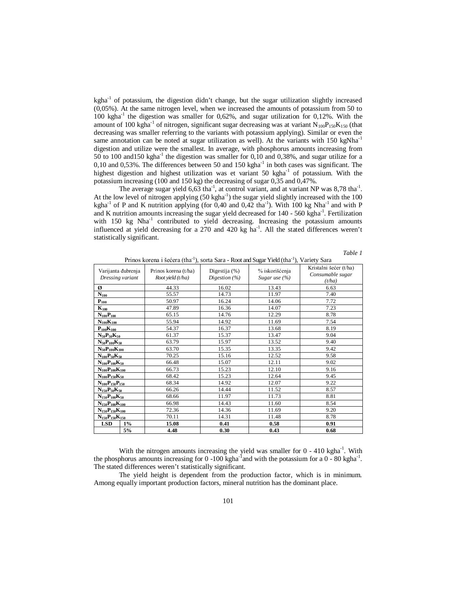kgha<sup>-1</sup> of potassium, the digestion didn't change, but the sugar utilization slightly increased (0,05%). At the same nitrogen level, when we increased the amounts of potassium from 50 to  $100 \text{ kgha}^{-1}$  the digestion was smaller for 0,62%, and sugar utilization for 0,12%. With the amount of 100 kgha<sup>-1</sup> of nitrogen, significant sugar decreasing was at variant  $N_{100}P_{150}K_{150}$  (that decreasing was smaller referring to the variants with potassium applying). Similar or even the same annotation can be noted at sugar utilization as well). At the variants with 150 kgNha<sup>-1</sup> digestion and utilize were the smallest. In average, with phosphorus amounts increasing from 50 to 100 and 150 kgha<sup>-1</sup> the digestion was smaller for  $0,10$  and  $0,38%$ , and sugar utilize for a  $0,10$  and  $0,53\%$ . The differences between 50 and 150 kgha<sup>-1</sup> in both cases was significant. The highest digestion and highest utilization was et variant 50 kgha<sup>-1</sup> of potassium. With the potassium increasing (100 and 150 kg) the decreasing of sugar 0,35 and 0,47%.

The average sugar yield  $6,63$  tha<sup>-1</sup>, at control variant, and at variant NP was  $8,78$  tha<sup>-1</sup>. At the low level of nitrogen applying  $(50 \text{ kgha}^{-1})$  the sugar yield slightly increased with the 100 kgha<sup>-1</sup> of P and K nutrition applying (for 0,40 and 0,42 tha<sup>-1</sup>). With 100 kg Nha<sup>-1</sup> and with P and K nutrition amounts increasing the sugar yield decreased for 140 - 560 kgha<sup>-1</sup>. Fertilization with 150 kg Nha<sup>-1</sup> contributed to yield decreasing. Increasing the potassium amounts influenced at yield decreasing for a  $270$  and  $420$  kg ha<sup>-1</sup>. All the stated differences weren't statistically significant.

|--|--|

| Varijanta đubrenja<br>Dressing variant     |       | Prinos korena (t/ha)<br>Root yield (t/ha) | Digestija $(\%)$<br>Digestion $(%)$ | % iskorišćenja<br>Sugar use (%) | Kristalni šećer (t/ha)<br>Consumable sugar<br>(t/ha) |
|--------------------------------------------|-------|-------------------------------------------|-------------------------------------|---------------------------------|------------------------------------------------------|
| Ø                                          |       | 44.33                                     | 16.02                               | 13.43                           | 6.63                                                 |
| $N_{100}$                                  |       | 55.57                                     | 14.73                               | 11.97                           | 7.40                                                 |
| $\mathbf{P}_{1\underline{0}\underline{0}}$ |       | 50.97                                     | 16.24                               | 14.06                           | 7.72                                                 |
| $\mathbf{K}_{100}$                         |       | 47.89                                     | 16.36                               | 14.07                           | 7.23                                                 |
| $N_{100}P_{100}$                           |       | 65.15                                     | 14.76                               | 12.29                           | 8.78                                                 |
| $N_{100}K_{100}$                           |       | 55.94                                     | 14.92                               | 11.69                           | 7.54                                                 |
| $P_{100}K_{100}$                           |       | 54.37                                     | 16.37                               | 13.68                           | 8.19                                                 |
| $N_{50}P_{50}K_{50}$                       |       | 61.37                                     | 15.37                               | 13.47                           | 9.04                                                 |
| $N_{50}P_{100}K_{50}$                      |       | 63.79                                     | 15.97                               | 13.52                           | 9.40                                                 |
| $N_{50}P_{100}K_{100}$                     |       | 63.70                                     | 15.35                               | 13.35                           | 9.42                                                 |
| $N_{100}P_{50}K_{50}$                      |       | 70.25                                     | 15.16                               | 12.52                           | 9.58                                                 |
| $N_{100}P_{100}K_{50}$                     |       | 66.48                                     | 15.07                               | 12.11                           | 9.02                                                 |
| $N_{100}P_{100}K_{100}$                    |       | 66.73                                     | 15.23                               | 12.10                           | 9.16                                                 |
| $N_{100}P_{150}K_{50}$                     |       | 68.42                                     | 15.23                               | 12.64                           | 9.45                                                 |
| $N_{100}P_{150}P_{150}$                    |       | 68.34                                     | 14.92                               | 12.07                           | 9.22                                                 |
| $N_{150}P_{50}K_{50}$                      |       | 66.26                                     | 14.44                               | 11.52                           | 8.57                                                 |
| $N_{150}P_{100}K_{50}$                     |       | 68.66                                     | 11.97                               | 11.73                           | 8.81                                                 |
| $N_{150}P_{100}K_{100}$                    |       | 66.98                                     | 14.43                               | 11.60                           | 8.54                                                 |
| $N_{150}P_{150}K_{100}$                    |       | 72.36                                     | 14.36                               | 11.69                           | 9.20                                                 |
| $N_{150}P_{150}K_{150}$                    |       | 70.11                                     | 14.31                               | 11.48                           | 8.78                                                 |
| <b>LSD</b>                                 | $1\%$ | 15.08                                     | 0.41                                | 0.58                            | 0.91                                                 |
|                                            | 5%    | 4.48                                      | 0.30                                | 0.43                            | 0.68                                                 |

Prinos korena i šećera (tha<sup>-1</sup>), sorta Sara - Root and Sugar Yield (tha<sup>-1</sup>), Variety Sara

With the nitrogen amounts increasing the yield was smaller for  $0 - 410$  kgha<sup>-1</sup>. With the phosphorus amounts increasing for 0 -100 kgha<sup>-1</sup> and with the potassium for a  $0 - 80$  kgha<sup>-1</sup>. The stated differences weren't statistically significant.

The yield height is dependent from the production factor, which is in minimum. Among equally important production factors, mineral nutrition has the dominant place.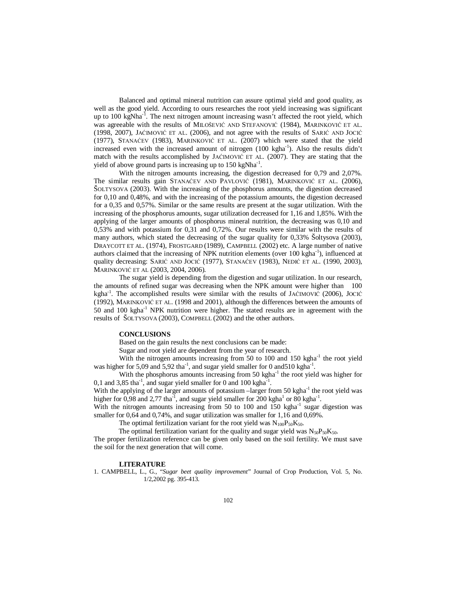Balanced and optimal mineral nutrition can assure optimal yield and good quality, as well as the good yield. According to ours researches the root yield increasing was significant up to 100 kgNha<sup>-1</sup>. The next nitrogen amount increasing wasn't affected the root yield, which was agreeable with the results of MILOŠEVIĆ AND STEFANOVIĆ (1984), MARINKOVIĆ ET AL. (1998, 2007), JAĆIMOVIĆ ET AL. (2006), and not agree with the results of SARIĆ AND JOCIĆ (1977), STANAĆEV (1983), MARINKOVIĆ ET AL. (2007) which were stated that the yield increased even with the increased amount of nitrogen  $(100 \text{ kgha}^{-1})$ . Also the results didn't match with the results accomplished by JAĆIMOVIĆ ET AL. (2007). They are stating that the yield of above ground parts is increasing up to  $150 \text{ kg} \text{N} \text{h} \text{a}^{-1}$ .

With the nitrogen amounts increasing, the digestion decreased for 0,79 and 2,07%. The similar results gain STANAĆEV AND PAVLOVIĆ (1981), MARINKOVIĆ ET AL. (2006), ŠOLTYSOVA (2003). With the increasing of the phosphorus amounts, the digestion decreased for 0,10 and 0,48%, and with the increasing of the potassium amounts, the digestion decreased for a 0,35 and 0,57%. Similar or the same results are present at the sugar utilization. With the increasing of the phosphorus amounts, sugar utilization decreased for 1,16 and 1,85%. With the applying of the larger amounts of phosphorus mineral nutrition, the decreasing was 0,10 and 0,53% and with potassium for 0,31 and 0,72%. Our results were similar with the results of many authors, which stated the decreasing of the sugar quality for 0,33% Šoltysova (2003), DRAYCOTT ET AL. (1974), FROSTGARD (1989), CAMPBELL (2002) etc. A large number of native authors claimed that the increasing of NPK nutrition elements (over  $100 \text{ kgha}^{-1}$ ), influenced at quality decreasing: SARIĆ AND JOCIĆ (1977), STANAĆEV (1983), NEDIĆ ET AL. (1990, 2003), MARINKOVIĆ ET AL (2003, 2004, 2006).

The sugar yield is depending from the digestion and sugar utilization. In our research, the amounts of refined sugar was decreasing when the NPK amount were higher than 100 kgha<sup>-1</sup>. The accomplished results were similar with the results of JAĆIMOVIĆ (2006), JOCIĆ (1992), MARINKOVIĆ ET AL. (1998 and 2001), although the differences between the amounts of 50 and 100 kgha<sup>-1</sup> NPK nutrition were higher. The stated results are in agreement with the results of ŠOLTYSOVA (2003), COMPBELL (2002) and the other authors.

### **CONCLUSIONS**

Based on the gain results the next conclusions can be made:

Sugar and root yield are dependent from the year of research.

With the nitrogen amounts increasing from  $50$  to  $100$  and  $150$  kgha $^{-1}$  the root yield was higher for 5,09 and 5,92 tha<sup>-1</sup>, and sugar yield smaller for 0 and 510 kgha<sup>-1</sup>.

With the phosphorus amounts increasing from 50 kgha<sup>-1</sup> the root yield was higher for 0,1 and 3,85 tha<sup>-1</sup>, and sugar yield smaller for 0 and 100 kgha<sup>-1</sup>.

With the applying of the larger amounts of potassium -larger from 50 kgha<sup>-1</sup> the root yield was higher for  $0.98$  and  $2.77$  tha<sup>-1</sup>, and sugar yield smaller for 200 kgha<sup>-1</sup> or 80 kgha<sup>-1</sup>.

With the nitrogen amounts increasing from 50 to 100 and 150 kgha<sup>-1</sup> sugar digestion was smaller for 0,64 and 0,74%, and sugar utilization was smaller for 1,16 and 0,69%.

The optimal fertilization variant for the root yield was  $N_{100}P_{50}K_{50}$ .

The optimal fertilization variant for the quality and sugar yield was  $N_{50}P_{50}K_{50}$ .

The proper fertilization reference can be given only based on the soil fertility. We must save the soil for the next generation that will come.

## **LITERATURE**

1. CAMPBELL, L., G., "*Sugar beet quality improvement*" Journal of Crop Production, Vol. 5, No. 1/2,2002 pg. 395-413.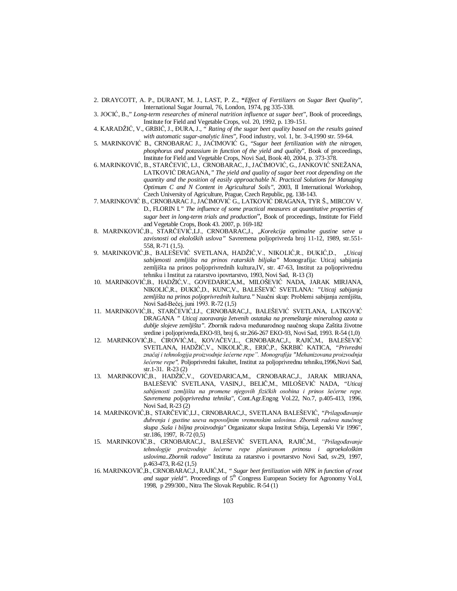- 2. DRAYCOTT, A. P., DURANT, M. J., LAST, P. Z., **"***Effect of Fertilizers on Sugar Beet Quality*", International Sugar Journal, 76, London, 1974, pg 335-338.
- 3. JOCIĆ, B.," *Long-term researches of mineral nutrition influence at sugar beet*", Book of proceedings, Institute for Field and Vegetable Crops, vol. 20, 1992, p. 139-151.
- 4. KARADŽIĆ, V., GRBIĆ, J., ĐURA, J., " *Rating of the sugar beet quality based on the results gained with automatic sugar-analytic lines*", Food industry, vol. 1, br. 3-4,1990 str. 59-64.
- 5. MARINKOVIĆ B., CRNOBARAC J., JAĆIMOVIĆ G., "*Sugar beet fertilization with the nitrogen, phosphorus and potassium in function of the yield and quality*", Book of proceedings, Institute for Field and Vegetable Crops, Novi Sad, Book 40, 2004, p. 373-378.
- 6. MARINKOVIĆ, B., STARČEVIĆ, LJ., CRNOBARAC, J., JAĆIMOVIĆ, G., JANKOVIĆ SNEŽANA, LATKOVIĆ DRAGANA*," The yield and quality of sugar beet root depending on the quantity and the position of easily approachable N. Practical Solutions for Managing Optimum C and N Content in Agricultural Soils"*, 2003, II International Workshop, Czech University of Agriculture, Prague, Czech Republic, pg. 138-143.
- 7. MARINKOVIĆ B., CRNOBARAC J., JAĆIMOVIĆ G., LATKOVIĆ DRAGANA, TYR Š., MIRCOV V. D., FLORIN I*." The influence of some practical measures at quantitative properties of sugar beet in long-term trials and production*", Book of proceedings, Institute for Field and Vegetable Crops, Book 43. 2007, p. 169-182
- 8. MARINKOVIĆ,B., STARČEVIĆ,LJ., CRNOBARAC,J., "*Korekcija optimalne gustine setve u zavisnosti od ekoloških uslova"* Savremena poljoprivreda broj 11-12, 1989, str.551- 558, R-71 (1,5).
- 9. MARINKOVIĆ,B., BALEŠEVIĆ SVETLANA, HADŽIĆ,V., NIKOLIĆ,R., ĐUKIĆ,D., "*Uticaj sabijenosti zemljišta na prinos ratarskih biljaka"* Monografija: Uticaj sabijanja zemljišta na prinos poljoprivrednih kultura,IV, str. 47-63, Institut za poljoprivrednu tehniku i Institut za ratarstvo ipovrtarstvo, 1993, Novi Sad, R-13 (3)
- 10. MARINKOVIĆ,B., HADŽIĆ,V., GOVEDARICA,M., MILOŠEVIĆ NADA, JARAK MIRJANA, NIKOLIĆ,R., ĐUKIĆ,D., KUNC,V., BALEŠEVIĆ SVETLANA: *"Uticaj sabijanja zemljišta na prinos poljoprivrednih kultura."* Naučni skup: Problemi sabijanja zemljišta, Novi Sad-Bečej, juni 1993. R-72 (1,5)
- 11. MARINKOVIĆ,B., STARČEVIĆ,LJ., CRNOBARAC,J., BALEŠEVIĆ SVETLANA, LATKOVIĆ DRAGANA *" Uticaj zaoravanja žetvenih ostataka na premeštanje mineralnog azota u dublje slojeve zemljišta".* Zbornik radova međunarodnog naučnog skupa Zaštita životne sredine i poljoprivreda,EKO-93, broj 6, str.266-267 EKO-93, Novi Sad, 1993. R-54 (1,0)
- 12. MARINKOVIĆ,B., ĆIROVIĆ,M., KOVAČEV,L., CRNOBARAC,J., RAJIĆ,M., BALEŠEVIĆ SVETLANA, HADŽIĆ,V., NIKOLIČ,R., ERIĆ,P., ŠKRBIĆ KATICA, *"Privredni značaj i tehnologija proizvodnje šećerne repe". Monografija "Mehanizovana proizvodnja šećerne repe",* Poljoprivredni fakultet, Institut za poljoprivrednu tehniku,1996,Novi Sad, str.1-31. R-23 (2)
- 13. MARINKOVIĆ,B., HADŽIĆ,V., GOVEDARICA,M., CRNOBARAC,J., JARAK MIRJANA, BALEŠEVIĆ SVETLANA, VASIN,J., BELIČ,M., MILOŠEVIĆ NADA, *"Uticaj sabijenosti zemljišta na promene njegovih fizičkih osobina i prinos šećerne repe. Savremena poljoprivredna tehnika"*, Cont.Agr.Engng Vol.22, No.7, p.405-413, 1996, Novi Sad, R-23 (2)
- 14. MARINKOVIĆ,B., STARČEVIĆ,LJ., CRNOBARAC,J., SVETLANA BALEŠEVIĆ, "*Prilagođavanje đubrenja i gustine useva nepovoljnim vremenskim uslovima. Zbornik radova naučnog skupa .Suša i biljna proizvodnja"* Organizator skupa Institut Srbija, Lepenski Vir 1996", str.186, 1997, R-72 (0,5)
- 15. MARINKOVIĆ,B., CRNOBARAC,J., BALEŠEVIĆ SVETLANA, RAJIĆ,M., *"Prilagođavanje tehnologije proizvodnje šećerne repe planiranom prinosu i agroekološkim uslovima..Zbornik radova"* Instituta za ratarstvo i povrtarstvo Novi Sad, sv.29, 1997, p.463-473, R-62 (1,5)
- 16. MARINKOVIĆ,B., CRNOBARAC,J., RAJIĆ,M., *" Sugar beet fertilization with NPK in function of root*  and sugar yield". Proceedings of 5<sup>th</sup> Congress European Society for Agronomy Vol.I, 1998, p 299/300., Nitra The Slovak Republic. R-54 (1)